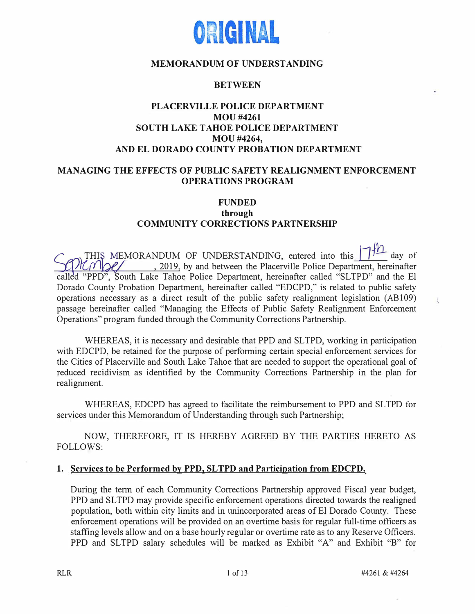

#### **MEMORANDUM OF UNDERSTANDING**

#### **BETWEEN**

#### **PLACERVILLE POLICE DEPARTMENT MOU#4261 SOUTH LAKE TAHOE POLICE DEPARTMENT MOU#4264, AND EL DORADO COUNTY PROBATION DEPARTMENT**

#### **MANAGING THE EFFECTS OF PUBLIC SAFETY REALIGNMENT ENFORCEMENT OPERATIONS PROGRAM**

#### **FUNDED through COMMUNITY CORRECTIONS PARTNERSHIP**

THIS MEMORANDUM OF UNDERSTANDING, entered into this  $\frac{1}{L}$  day of  $\binom{n}{k}$  , 2019, by and between the Placerville Police Department, hereinafter called "PPD", South Lake Tahoe Police Department, hereinafter called "SLTPD" and the El Dorado County Probation Department, hereinafter called "EDCPD," is related to public safety operations necessary as a direct result of the public safety realignment legislation (AB 109) passage hereinafter called "Managing the Effects of Public Safety Realignment Enforcement Operations" program funded through the Community Corrections Partnership.

WHEREAS, it is necessary and desirable that PPD and SLTPD, working in participation with EDCPD, be retained for the purpose of performing certain special enforcement services for the Cities of Placerville and South Lake Tahoe that are needed to support the operational goal of reduced recidivism as identified by the Community Corrections Partnership in the plan for realignment.

WHEREAS, EDCPD has agreed to facilitate the reimbursement to PPD and SLTPD for services under this Memorandum of Understanding through such Partnership;

NOW, THEREFORE, IT IS HEREBY AGREED BY THE PARTIES HERETO AS FOLLOWS:

#### **1. Services to be Performed by PPD, SL TPD and Participation from EDCPD.**

During the term of each Community Corrections Partnership approved Fiscal year budget, PPD and SL TPD may provide specific enforcement operations directed towards the realigned population, both within city limits and in unincorporated areas of El Dorado County. These enforcement operations will be provided on an overtime basis for regular full-time officers as staffing levels allow and on a base hourly regular or overtime rate as to any Reserve Officers. PPD and SLTPD salary schedules will be marked as Exhibit "A" and Exhibit "B" for

Į,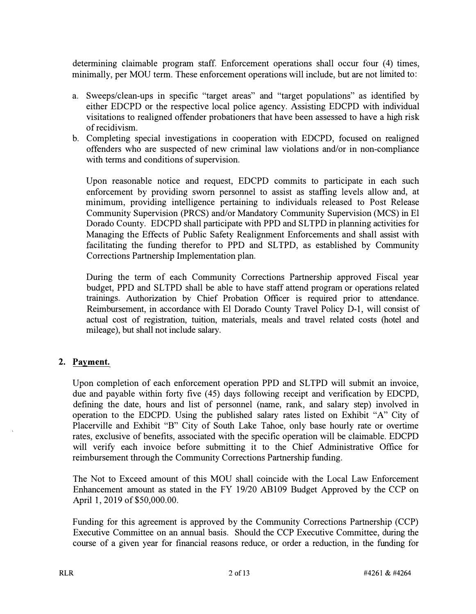determining claimable program staff. Enforcement operations shall occur four (4) times, minimally, per MOU term. These enforcement operations will include, but are not limited to:

- a. Sweeps/clean-ups in specific "target areas" and "target populations" as identified by either EDCPD or the respective local police agency. Assisting EDCPD with individual visitations to realigned offender probationers that have been assessed to have a high risk of recidivism.
- b. Completing special investigations in cooperation with EDCPD, focused on realigned offenders who are suspected of new criminal law violations and/or in non-compliance with terms and conditions of supervision.

Upon reasonable notice and request, EDCPD commits to participate in each such enforcement by providing sworn personnel to assist as staffing levels allow and, at minimum, providing intelligence pertaining to individuals released to Post Release Community Supervision (PRCS) and/or Mandatory Community Supervision (MCS) in El Dorado County. EDCPD shall participate with PPD and SLTPD in planning activities for Managing the Effects of Public Safety Realignment Enforcements and shall assist with facilitating the funding therefor to PPD and SL TPD, as established by Community Corrections Partnership Implementation plan.

During the term of each Community Corrections Partnership approved Fiscal year budget, PPD and SLTPD shall be able to have staff attend program or operations related trainings. Authorization by Chief Probation Officer is required prior to attendance. Reimbursement, in accordance with El Dorado County Travel Policy D-1, will consist of actual cost of registration, tuition, materials, meals and travel related costs (hotel and mileage), but shall not include salary.

#### **2. Payment.**

Upon completion of each enforcement operation PPD and SLTPD will submit an invoice, due and payable within forty five (45) days following receipt and verification by EDCPD, defining the date, hours and list of personnel (name, rank, and salary step) involved in operation to the EDCPD. Using the published salary rates listed on Exhibit "A" City of Placerville and Exhibit "B" City of South Lake Tahoe, only base hourly rate or overtime rates, exclusive of benefits, associated with the specific operation will be claimable. EDCPD will verify each invoice before submitting it to the Chief Administrative Office for reimbursement through the Community Corrections Partnership funding.

The Not to Exceed amount of this MOU shall coincide with the Local Law Enforcement Enhancement amount as stated in the FY 19/20 AB 109 Budget Approved by the CCP on April 1, 2019 of \$50,000.00.

Funding for this agreement is approved by the Community Corrections Partnership (CCP) Executive Committee on an annual basis. Should the CCP Executive Committee, during the course of a given year for financial reasons reduce, or order a reduction, in the funding for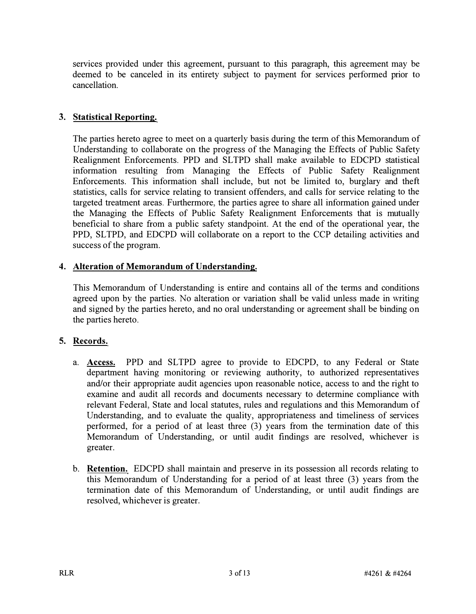services provided under this agreement, pursuant to this paragraph, this agreement may be deemed to be canceled in its entirety subject to payment for services performed prior to cancellation.

#### **3. Statistical Reporting.**

The parties hereto agree to meet on a quarterly basis during the term of this Memorandum of Understanding to collaborate on the progress of the Managing the Effects of Public Safety Realignment Enforcements. PPD and SL TPD shall make available to EDCPD statistical information resulting from Managing the Effects of Public Safety Realignment Enforcements. This information shall include, but not be limited to, burglary and theft statistics, calls for service relating to transient offenders, and calls for service relating to the targeted treatment areas. Furthermore, the parties agree to share all information gained under the Managing the Effects of Public Safety Realignment Enforcements that is mutually beneficial to share from a public safety standpoint. At the end of the operational year, the PPD, SLTPD, and EDCPD will collaborate on a report to the CCP detailing activities and success of the program.

#### **4. Alteration of Memorandum of Understanding.**

This Memorandum of Understanding is entire and contains all of the terms and conditions agreed upon by the parties. No alteration or variation shall be valid unless made in writing and signed by the parties hereto, and no oral understanding or agreement shall be binding on the parties hereto.

#### **5. Records.**

- a. **Access.** PPD and SLTPD agree to provide to EDCPD, to any Federal or State department having monitoring or reviewing authority, to authorized representatives and/or their appropriate audit agencies upon reasonable notice, access to and the right to examine and audit all records and documents necessary to determine compliance with relevant Federal, State and local statutes, rules and regulations and this Memorandum of Understanding, and to evaluate the quality, appropriateness and timeliness of services performed, for a period of at least three (3) years from the termination date of this Memorandum of Understanding, or until audit findings are resolved, whichever is greater.
- b. **Retention.** EDCPD shall maintain and preserve in its possession all records relating to this Memorandum of Understanding for a period of at least three (3) years from the termination date of this Memorandum of Understanding, or until audit findings are resolved, whichever is greater.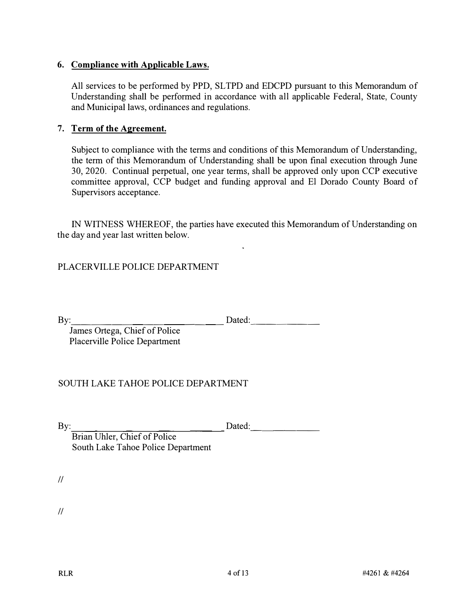#### **6. Compliance with Applicable Laws.**

All services to be performed by PPD, SL TPD and EDCPD pursuant to this Memorandum of Understanding shall be performed in accordance with all applicable Federal, State, County and Municipal laws, ordinances and regulations.

#### **7. Term of the Agreement.**

Subject to compliance with the terms and conditions of this Memorandum of Understanding, the term of this Memorandum of Understanding shall be upon final execution through June 30, 2020. Continual perpetual, one year terms, shall be approved only upon CCP executive committee approval, CCP budget and funding approval and El Dorado County Board of Supervisors acceptance.

IN WITNESS WHEREOF, the parties have executed this Memorandum of Understanding on the day and year last written below.

 $\mathbf{v}^{\prime}$ 

### PLACERVILLE POLICE DEPARTMENT

By:  $\frac{1}{\text{James Ortega, Chief of Police}}$  Dated: Placerville Police Department

### SOUTH LAKE TAHOE POLICE DEPARTMENT

By: Dated: \_ \_ \_\_\_ \_

Brian Uhler, Chief of Police South Lake Tahoe Police Department

*II* 

*II*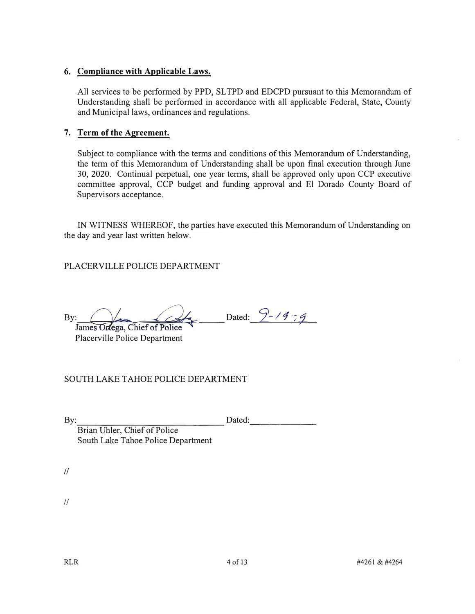#### **6. Compliance with Applicable Laws.**

All services to be performed by PPD, SLTPD and EDCPD pursuant to this Memorandum of Understanding shall be performed in accordance with all applicable Federal, State, County and Municipal laws, ordinances and regulations.

#### **7. Term of the Agreement.**

Subject to compliance with the terms and conditions of this Memorandum of Understanding, the term of this Memorandum of Understanding shall be upon final execution through June 30, 2020. Continual perpetual, one year terms, shall be approved only upon CCP executive committee approval, CCP budget and funding approval and El Dorado County Board of Supervisors acceptance.

IN WITNESS WHEREOF, the parties have executed this Memorandum of Understanding on the day and year last written below.

PLACERVILLE POLICE DEPARTMENT

By: James Ordega, Chief of Police Dated:  $9 - 19 - 9$ 

Placerville Police Department

### SOUTH LAKE TAHOE POLICE DEPARTMENT

By: Dated: -------

Brian Uhler, Chief of Police South Lake Tahoe Police Department

*II* 

*II*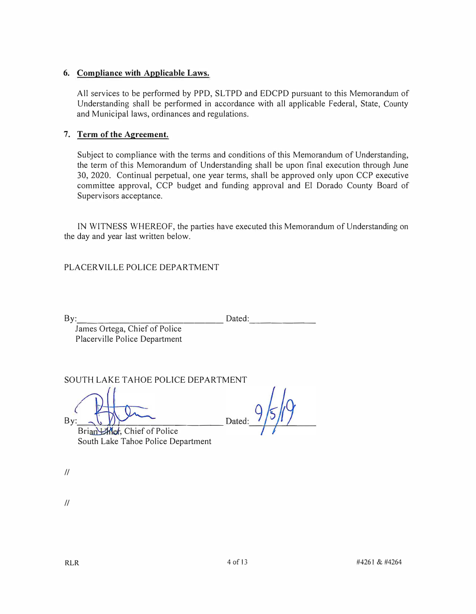#### **6. Compliance with Applicable Laws.**

All services to be performed by PPD, SL TPD and EDCPD pursuant to this Memorandum of Understanding shall be performed in accordance with all applicable Federal, State, County and Municipal laws, ordinances and regulations.

#### **7. Term of the Agreement.**

Subject to compliance with the terms and conditions of this Memorandum of Understanding, the term of this Memorandum of Understanding shall be upon final execution through June 30, 2020. Continual perpetual, one year terms, shall be approved only upon CCP executive committee approval, CCP budget and funding approval and El Dorado County Board of Supervisors acceptance.

IN WITNESS WHEREOF, the patties have executed this Memorandum of Understanding on the day and year last written below.

PLACERVILLE POLICE DEPARTMENT

By: \_\_\_\_\_\_\_\_\_\_\_\_\_\_ Dated: \_\_\_\_\_ \_

James Ortega, Chief of Police Placerville Police Department

SOUTH LAKE TAHOE POLICE DEPARTMENT

 $By: \longrightarrow \bigcup_{r \in \mathbb{R}} \bigcup_{r \in \mathbb{R}} \bigcup_{r \in \mathbb{R}} \bigcup_{r \in \mathbb{R}} \bigcup_{r \in \mathbb{R}} \bigcup_{r \in \mathbb{R}} \bigcup_{r \in \mathbb{R}} \bigcup_{r \in \mathbb{R}} \bigcup_{r \in \mathbb{R}} \bigcup_{r \in \mathbb{R}} \bigcup_{r \in \mathbb{R}} \bigcup_{r \in \mathbb{R}} \bigcup_{r \in \mathbb{R}} \bigcup_{r \in \mathbb{R}} \bigcup_{r \in \mathbb{R}} \bigcup_{r \in \mathbb{R}} \bigcup_{r \in \$ Brian Line, Chief of Police South Lake Tahoe Police Department

*II* 

*II*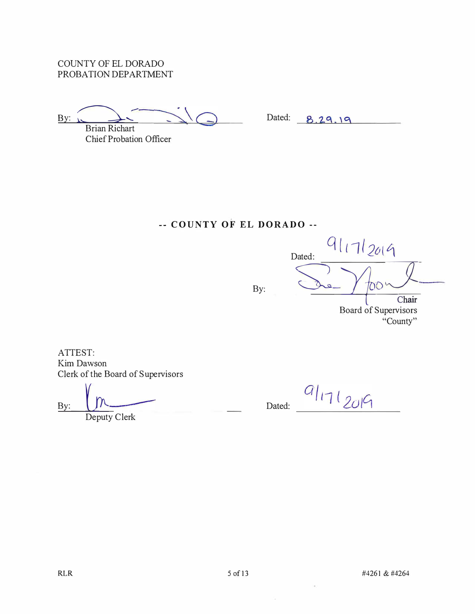COUNTY OF ELDORADO PROBATION DEPARTMENT

By:

Brian Richart Chief Probation Officer

Dated: 8.29.19

## **-- COUNTY OF EL DORADO --**

By:

 $D_{\text{ated:}}$   $q_{11}q_{201}q$  $\overline{O}O$  $\sigma$ Chair

Board of Supervisors "County"

ATTEST: Kim Dawson Clerk of the Board of Supervisors

By: Deputy Clerk

Dated:

 $q|_{11}|_{20}q$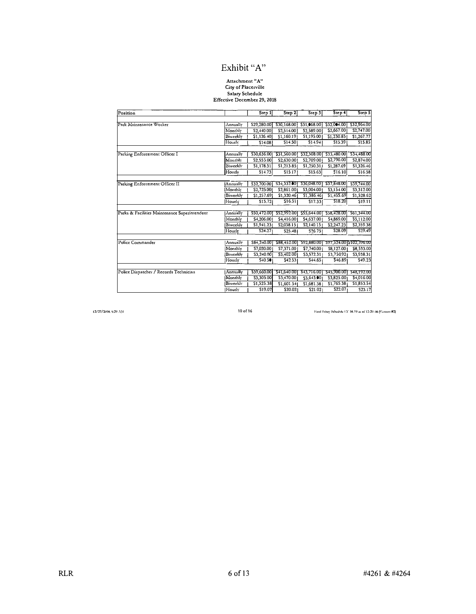# Attachment "A"<br>City of Placerville<br>Salary Schedule<br>Effective December 29, 2018

| Position                                      |          | Step 1      | Step 2      | Step 3                  | Step 4                  | Step 5                   |
|-----------------------------------------------|----------|-------------|-------------|-------------------------|-------------------------|--------------------------|
|                                               |          |             |             |                         |                         |                          |
| Park Maintenance Worker                       | Annually | \$29,280.00 | \$30,168.00 | \$31,068.00             | \$32,004.00             | \$32,964.00              |
|                                               | Monthly  | \$2,440.00  | \$2,514.00  | \$2,589.00              | \$2,667.00              | \$2,747.00               |
|                                               | Biweekly | \$1,126.40  | \$1,160.19] | \$1,195.00              | \$1,230.85              | \$1,267.77               |
|                                               | Hourly   | \$14.08     | \$14.50     | $51 + 94$               | S15.391                 | S15.85                   |
|                                               |          |             |             |                         |                         |                          |
| Parking Enforcement Officer I                 | Annually | \$30,636.00 |             | \$31,560.00 \$32,508.00 | \$33,480.00             | \$34,488.00              |
|                                               | Monthly  | \$2,553.00  | \$2,630.00  | \$2,709.00              | \$2,790.00              | \$2,874.00               |
|                                               | Biweekly | \$1,178.31  | 51,213.85   | \$1,250.31              | \$1,287.69              | \$1,326.46               |
|                                               | Hourly   | S14.73      | \$15.17     | S15.63                  | \$16.10                 | \$16.58                  |
|                                               |          |             |             |                         |                         |                          |
| Parking Enforcement Officer II                | Annually | \$32,700.00 | \$34,332.00 | \$36,048.00             | \$37,848.00             | \$39,744.00              |
|                                               | Monthly  | \$2,725.00  | \$2,861.00  | \$3,004.00              | \$3,154.00              | \$3,312.00               |
|                                               | Biweekly | \$1,257.69  | \$1,320.46  | \$1,386.46              | \$1,455.69              | \$1,528.62               |
|                                               | Hourly   | S15.72      | \$16.51     | S17.33                  | S18.20                  | \$19.11                  |
|                                               |          |             |             |                         |                         |                          |
| Parks & Facilities Maintenance Superintendent | Annually | \$50,472.00 | \$52,992.00 |                         | \$55,644.00 \$58,428.00 | S61,344.00               |
|                                               | Monthly  | \$4,206.00  | \$4,416.00  | \$4,637.00              | \$4,869.00              | \$5,112.00               |
|                                               | Biwcekly | \$1,941.23  | S2,038.15   | S2,140.15               | \$2,247.23              | \$2,359.38               |
|                                               | Hourly   | S24.27      | S25.481     | S26.75                  | S28.09                  | S29.49                   |
|                                               |          |             |             |                         |                         |                          |
| Police Commander                              | Annually | \$84,240.00 | \$88,452.00 | \$92,880.00             |                         | \$97,524.00 \$102,396.00 |
|                                               | Monthly  | \$7,020.00  | \$7,371.00  | \$7,740.00              | S8,127.00               | \$8,533.00               |
|                                               | Biweekly | \$3,240.00  | \$3,402.00  | \$3,572.311             | \$3,750.921             | \$3,938.31               |
|                                               | Hourly   | S40.5●      | \$42.53     | S44.65                  | \$46.89                 | S49.23                   |
| Police Dispatcher / Records Technician        | Annually | \$39,660.00 | \$41,640.00 | 543,716.00              | 545,900.00              | 548,192.00               |
|                                               | Monthly  | \$3,305.00  | \$3,470.00  | \$3,643.00              | \$3,825.00)             | \$4,016.00               |
|                                               | Biweekly | \$1,525.38  | \$1,601.54  | \$1,681.38]             | \$1,765.38              | \$1,853.54               |
|                                               | Hourly   | S19.07      | \$20.02     | \$21.02                 | \$22.07                 | <b>\$23.17</b>           |

12/27/2018, 9:29 AM

 $10 of 16$ 

Final Salary Schedule 13' 18-19 as of 12-29-18 (Version #2)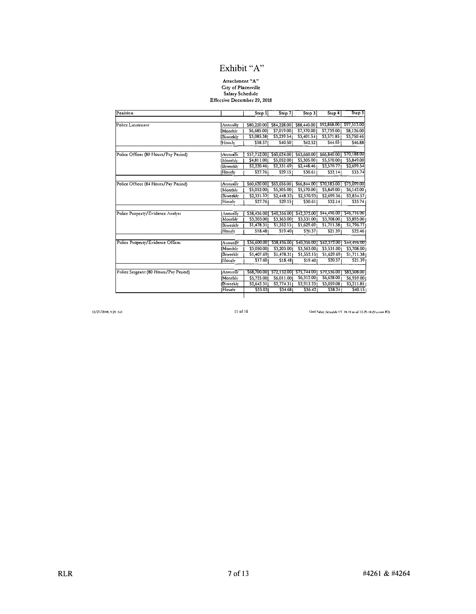# Attachment "A"<br>City of Placerville<br>Salaty Schedule<br>Effective December 29, 2018

| Position                              |                 | Step 1      | Step 2      | Step 3                  | Step 4                  | Step 5                 |
|---------------------------------------|-----------------|-------------|-------------|-------------------------|-------------------------|------------------------|
|                                       |                 |             |             |                         |                         |                        |
| Police Lieutenant                     | Annually        | \$80,220.00 | \$84,228.00 | \$88,440.00             | \$92,868.00             | S97,512.00             |
|                                       | Monthly         | S6,685.00   | \$7,019.00  | S7,370.00               | S7,739.00               | S8,126.00              |
|                                       | Biweekly        | \$3,085.38  | \$3,239.54  | S3,401.54               | S3,571.85               | S3,750.46              |
|                                       | Hourly          | \$38.57     | S40.50      | S42.52                  | S44.65                  | S46.88                 |
|                                       |                 |             |             |                         |                         |                        |
| Police Officer (80 Hours/Pay Period)  | Annually        | \$57,732.00 | 560,624.00  | \$63,660.00             | \$66,840.00             | \$70,188.00            |
|                                       | Monthly         | \$4,811.00  | \$5,052.00  | S5,305.00               | \$5,570.00              | \$5,849.00             |
|                                       | <b>Biweekly</b> | \$2,220.46  | \$2,331.69  | \$2,448.46              | \$2,570.77              | \$2,699.54             |
|                                       | Hourly          | S27.76      | S29.15      | S30.61                  | \$32.14                 | S33.74                 |
|                                       |                 |             |             |                         |                         |                        |
| Police Officer (84 Hours/Pay Period)  | Annually        | \$60,620.00 | 563,656.00  | $$66, 8 + 4.00$         | \$70,183.00 \$73,699.00 |                        |
|                                       | Monthly         | \$5,052.00  | \$5,305.00  | \$5,570.00              | \$5,849.00              | S6, 142.00             |
|                                       | Biweekly        | \$2,331.53  | \$2,448.32  | \$2,570.93              | \$2,699.36              | S <sub>2</sub> ,834.57 |
|                                       | Hourly          | S27.76      | S29.15      | S30.61                  | S32.14                  | S33.74                 |
| Police Property/Evidence Analyst      | Annually        | \$38,436.00 | \$40,356.00 | \$42,372.00             | S44, 496.00             | \$46,716.00            |
|                                       | Monthly         | S3,203.00   | \$3,363.00  | \$3,531.00              | \$3,708.00              | \$3,893.00             |
|                                       | Biweekly        | S1,478.31   | S1,552.15   | \$1,629.69              | S1,711.38               | S1,796.771             |
|                                       | Hourly          | S18.48      | S19.40      | S20.37                  | \$21.39                 | S22.46                 |
|                                       |                 |             |             |                         |                         |                        |
| Police Property/Evidence Officer      | Annually        | S36,600.00  | \$38,436.00 | S <sub>40,356</sub> .00 | \$42,372.00             | S <sub>44,496.00</sub> |
|                                       | Monthly         | \$3,050.00  | \$3,203.00  | \$3,363.00              | \$3,531.00              | \$3,708.00             |
|                                       | <b>Biweekly</b> | \$1,407.69  | \$1,478.31  | \$1,552.15              | \$1,629.69              | S1,711.38              |
|                                       | Hourly          | \$17.60     | S18.48      | \$19.40                 | S20.37                  | S21.391                |
|                                       |                 |             |             |                         |                         |                        |
| Police Sergeant (80 Hours/Pay Period) | Annually        | S68,700.00  | S72,132.00  | S75,744.00              | \$79,536.00             | \$83,508.00            |
|                                       | Monthly         | \$5,725.00  | S6,011.00   | S6,312.00               | S6,628.00               | S6,959.001             |
|                                       | <b>Biweekly</b> | \$2,642.31  | S2,774.31   | S2,913.23               | \$3,059.08              | S3, 211.85             |
|                                       | Hourly          | \$33.03     | \$34.68     | \$36.42                 | S38.24                  | 540.15                 |
|                                       |                 |             |             |                         |                         |                        |

12/27/2018, 9:29 AM

 $11$  of  $16$ 

Final Salary Schedule FV 18-19 as of 12-29-18 (Version #2)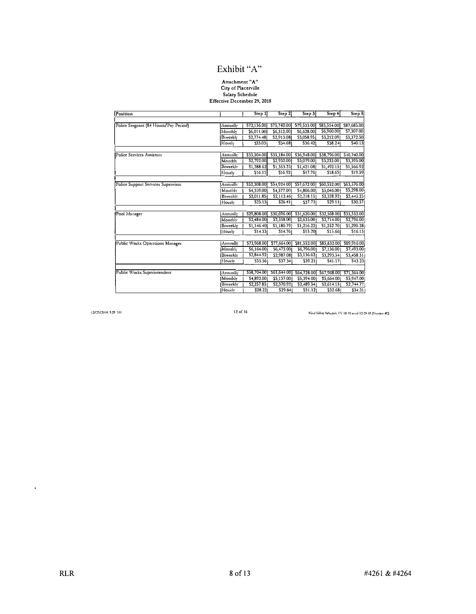# Attachment "A"<br>City of Placerville<br>Salary Schedule<br>Effective December 29, 2018

| Position                              |                    | Step 1      | Step 2      | Step 3                 | Step 4      | Step 5         |
|---------------------------------------|--------------------|-------------|-------------|------------------------|-------------|----------------|
|                                       |                    |             |             |                        |             |                |
| Police Sergeant (84 Hours/Pav Period) | Annually           | \$72,136.00 | \$75,740.00 | \$79,533.00            | S83,514.00  | \$87,685.00    |
|                                       | Monthly            | \$6,011.00  | \$6,312.00  | \$6,628.00             | \$6,960.00  | \$7,307.00     |
|                                       | Biweekly           | \$2,774.48  | S2,913.08   | \$3,058.95             | \$3,212.09  | \$3,372.50     |
|                                       | Houtly             | \$33.03     | S34.68      | S36.42                 | S38.24      | S40.15         |
|                                       |                    |             |             |                        |             |                |
| Police Services Assistant             | Annually           | \$33,504.00 | \$35,184.00 | \$36,948.00            | \$38,796.00 | \$40,740.00    |
|                                       | Monthly            | S2,792.00   | \$2,932.00  | S3,079.00              | \$3,233.00  | \$3,395.00     |
|                                       | Biweekly           | \$1,288.62  | \$1,353.23  | \$1,421.08             | \$1,492.15  | \$1,566.92     |
|                                       | Houtly             | \$16.11     | \$16.92     | St7.76                 | S18.65      | S19.59         |
|                                       |                    |             |             |                        |             |                |
| Police Support Services Supervisor    | Annually           | \$52,308.00 | \$54,924.00 | \$57,672.00            | \$60,552.00 | \$63,576.00    |
|                                       | Monthly            | \$4,359.00  | S4,577.00   | S <sub>4</sub> ,806.00 | \$5,046.00  | \$5,298.00     |
|                                       | Biveckly           | \$2,011.851 | S2,112.46   | S2,218.15              | S2,328.92   | \$2,445.23     |
|                                       | Hourly             | S25.15      | \$26.41     | \$27.73                | S29.11      | \$30.57        |
|                                       |                    |             |             |                        |             |                |
| Pool Manager                          | Annually           | \$29,808.00 | \$30,696.00 | \$31,620.00            | \$32,568.00 | \$33,552.00    |
|                                       | Monthly            | S2,484.00   | S2,558.00   | \$2,635.00             | S2,714.00   | S2,796.00      |
|                                       | Biweekly           | \$1,146.40  | \$1,180.79  | S1,216.22              | \$1,252.70  | \$1,290.28     |
|                                       | I-Jourly           | \$14.33     | S14.76      | \$15.20                | \$15.66     | S16.13         |
|                                       |                    |             |             |                        |             |                |
| Public Works Operations Manager       | Annually           | \$73,968.00 | \$77,664.00 | \$81,552.00            | \$85,632.00 | \$89,916.00    |
|                                       | Monthly            | S6,164.00   | \$6,472.00  | \$6,796.00             | \$7,136.00  | \$7,493.00     |
|                                       | Biweckly           | S2,844.92   | \$2,987.08  | \$3,136.62             | \$3,293.54  | \$3,458.31     |
|                                       | Hourly             | S35.56      | S37.34      | \$39.21                | S41.17      | <b>\$43.23</b> |
| Public Works Superintendent           | Annually           | S58,704.00  | S61,644.00  | S64,728.00             | S67,968.00  | S71,364.00     |
|                                       | Monthly            | S4,892.00   | \$5,137.001 | \$5,394.001            | \$5,664.00  | S5,947.00      |
|                                       |                    | S2,257.85   | S2,370.921  | S2,489.54              | S2,614.15   | S2,744.77      |
|                                       | Biweekly<br>Hourly | \$28.22     | S29.64      | \$31.12                | \$32.68     | \$34.31        |
|                                       |                    |             |             |                        |             |                |

12/27/2018, 9.29 AM

12 of 16

Final Salary Schedule FV 18-19 as of 12-29-18 (Version #2)

 $\sim$   $\sim$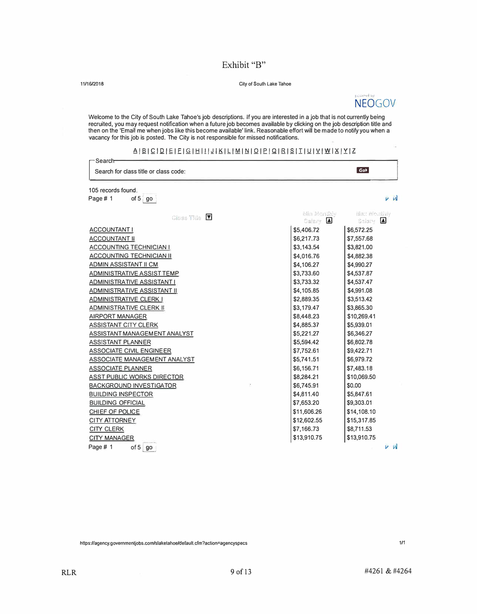$\Gamma$ Search

**11/16/2018 City of South Lake Tahoe** 



Welcome to the City of South Lake Tahoe's job descriptions. If you are interested in a job that is not currently being recruited, you may request notification when a future job becomes available by clicking on the job description title and then on the 'Email me when jobs like this become available' link. Reasonable effort will be made to notify you when a vacancy for this job is posted. The City is not responsible for missed notifications.

#### 6JaJ�JQJsJEJ�JtillJJJKJ1JMJNJQJEJQJEJ�IIJUJYJ�IXJXIZ

| Search for class title or class code: |                        | Got                     |
|---------------------------------------|------------------------|-------------------------|
| 105 records found.                    |                        |                         |
| Page #1<br>of 5 go                    |                        | $V$ $M$                 |
| Class Title                           | win wondiv<br>Salary A | Max monthly<br>Saiary A |
| <b>ACCOUNTANT I</b>                   | \$5,406.72             | \$6,572.25              |
| <b>ACCOUNTANT II</b>                  | \$6,217.73             | \$7,557.68              |
| <b>ACCOUNTING TECHNICIAN I</b>        | \$3,143.54             | \$3,821.00              |
| <b>ACCOUNTING TECHNICIAN II</b>       | \$4,016.76             | \$4,882.38              |
| ADMIN ASSISTANT II CM                 | \$4,106.27             | \$4,990.27              |
| ADMINISTRATIVE ASSIST TEMP            | \$3,733.60             | \$4,537.87              |
| ADMINISTRATIVE ASSISTANT I            | \$3,733.32             | \$4,537.47              |
| <b>ADMINISTRATIVE ASSISTANT II</b>    | \$4,105.85             | \$4,991.08              |
| <b>ADMINISTRATIVE CLERK I</b>         | \$2,889.35             | \$3,513.42              |
| <b>ADMINISTRATIVE CLERK II</b>        | \$3,179.47             | \$3,865.30              |
| AIRPORT MANAGER                       | \$8,448.23             | \$10,269.41             |
| <b>ASSISTANT CITY CLERK</b>           | \$4,885.37             | \$5,939.01              |
| ASSISTANT MANAGEMENT ANALYST          | \$5,221.27             | \$6,346.27              |
| <b>ASSISTANT PLANNER</b>              | \$5,594.42             | \$6,802.78              |
| ASSOCIATE CIVIL ENGINEER              | \$7,752.61             | \$9,422.71              |
| ASSOCIATE MANAGEMENT ANALYST          | \$5,741.51             | \$6,979.72              |
| <b>ASSOCIATE PLANNER</b>              | \$6,156.71             | \$7,483.18              |
| <b>ASST PUBLIC WORKS DIRECTOR</b>     | \$8,284.21             | \$10,069.50             |
| <b>BACKGROUND INVESTIGATOR</b><br>ß.  | \$6,745.91             | \$0.00                  |
| <b>BUILDING INSPECTOR</b>             | \$4,811.40             | \$5,847.61              |
| <b>BUILDING OFFICIAL</b>              | \$7,653.20             | \$9,303.01              |
| CHIEF OF POLICE                       | \$11,606.26            | \$14,108.10             |
| <b>CITY ATTORNEY</b>                  | \$12,602.55            | \$15,317.85             |
| <b>CITY CLERK</b>                     | \$7,166.73             | \$8,711.53              |
| <b>CITY MANAGER</b>                   | \$13,910.75            | \$13,910.75             |
| Page #1<br>of $5 \mid$ go             |                        | <b>LA</b>               |

**https://agency.governmentjobs.com/slaketahoe/default.cfm?action=agencyspecs**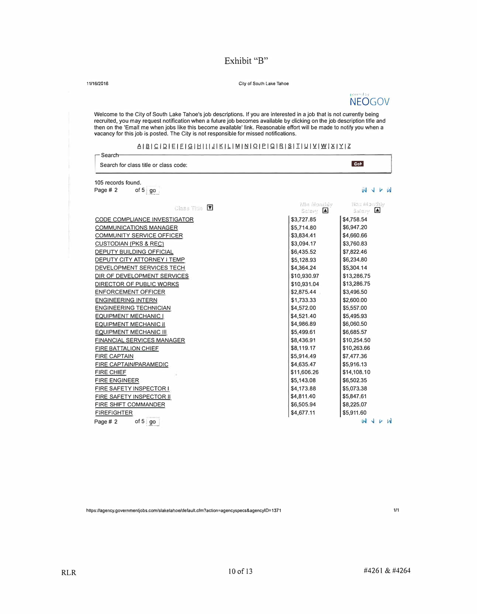$S$ earch

**11/16/2018 City of South Lake Tahoe** 



Welcome to the City of South Lake Tahoe's job descriptions. If you are interested in a job that is not currently being recruited, you may request notification when a future job becomes available by clicking on the job description title and then on the 'Email me when jobs like this become available' link. Reasonable effort will be made to notify you when a vacancy for this job is posted. The City is not responsible for missed notifications.

#### 8J�l�JQlsJEJQIHlllJIKJ11MJNJQJEIQIBl�II1�1�1YlllXJYll

| <b>Search</b><br>Search for class title or class code: |                          | Gol                      |
|--------------------------------------------------------|--------------------------|--------------------------|
| 105 records found.<br>of $5$ go<br>Page # 2            |                          | ind at be ad             |
| Class Title                                            | with monthly<br>Salaiv A | Trax Monthly<br>Salary A |
| CODE COMPLIANCE INVESTIGATOR                           | \$3,727.85               | \$4,758.54               |
| <b>COMMUNICATIONS MANAGER</b>                          | \$5,714.80               | \$6,947.20               |
| <b>COMMUNITY SERVICE OFFICER</b>                       | \$3,834.41               | \$4,660,66               |
| <b>CUSTODIAN (PKS &amp; REC)</b>                       | \$3,094.17               | \$3,760.83               |
| <b>DEPUTY BUILDING OFFICIAL</b>                        | \$6,435.52               | \$7,822.46               |
|                                                        |                          |                          |

| <u>COMMONTT OCKVICE OF FIGER</u>  | ו ד.דטט,טע  | Ψ⊤,∪∪ບ.∪∪   |
|-----------------------------------|-------------|-------------|
| <b>CUSTODIAN (PKS &amp; REC)</b>  | \$3,094.17  | \$3,760.83  |
| DEPUTY BUILDING OFFICIAL          | \$6,435.52  | \$7,822.46  |
| DEPUTY CITY ATTORNEY I TEMP       | \$5,128.93  | \$6,234.80  |
| DEVELOPMENT SERVICES TECH         | \$4,364.24  | \$5,304.14  |
| DIR OF DEVELOPMENT SERVICES       | \$10,930.97 | \$13,286.75 |
| DIRECTOR OF PUBLIC WORKS          | \$10,931.04 | \$13,286.75 |
| <b>ENFORCEMENT OFFICER</b>        | \$2,875.44  | \$3,496.50  |
| <b>ENGINEERING INTERN</b>         | \$1,733.33  | \$2,600.00  |
| <b>ENGINEERING TECHNICIAN</b>     | \$4,572.00  | \$5,557.00  |
| <b>EQUIPMENT MECHANIC I</b>       | \$4,521.40  | \$5,495.93  |
| <b>EQUIPMENT MECHANIC II</b>      | \$4,986.89  | \$6,060.50  |
| EQUIPMENT MECHANIC III            | \$5,499.61  | \$6,685.57  |
| <b>FINANCIAL SERVICES MANAGER</b> | \$8,436.91  | \$10,254.50 |
| <b>FIRE BATTALION CHIEF</b>       | \$8,119.17  | \$10,263.66 |
| <b>FIRE CAPTAIN</b>               | \$5,914.49  | \$7,477.36  |
| <b>FIRE CAPTAIN/PARAMEDIC</b>     | \$4,635.47  | \$5,916.13  |
| <b>FIRE CHIEF</b>                 | \$11,606.26 | \$14,108.10 |
| <b>FIRE ENGINEER</b>              | \$5,143.08  | \$6,502.35  |
| FIRE SAFETY INSPECTOR I           | \$4,173.88  | \$5,073.38  |
| FIRE SAFETY INSPECTOR II          | \$4,811.40  | \$5,847.61  |
| FIRE SHIFT COMMANDER              | \$6,505.94  | \$8,225.07  |
| <b>FIREFIGHTER</b>                | \$4,677.11  | \$5,911.60  |
| of $5 $ go<br>Page # 2            |             | V W<br>íЫ   |
|                                   |             |             |

**hltps://agency.governmenljobs.comlslakelahoe/default.cfm?action=agencyspecs&agencylD=1371**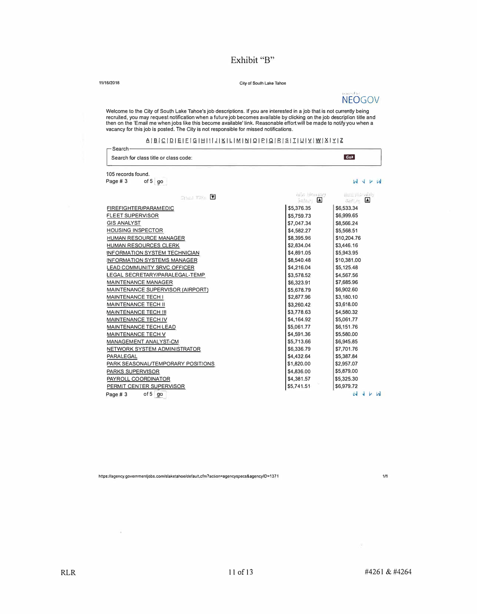**11/16/2018 City of South Lake Tahoe** 

.<br>ابتدأ الناس **NEOGOV** 

 $N$  V M

Welcome to the City of South Lake Tahoe's job descriptions. If you are interested in a job that is not currently being recruited, you may request notification when a future job becomes available by clicking on the job description title and then on the 'Email me when jobs like this become available' link. Reasonable effort will be made to notify you when a vacancy for this job is posted. The City is not responsible for missed notifications.

#### $\frac{\Delta\left[\frac{B}{C}\right]\left[\frac{C}{C}\right]\left[\frac{B}{C}\right]\left[\frac{C}{C}\right]\left[\frac{C}{C}\right]\left[\frac{B}{C}\right]\left[\frac{C}{C}\right]\left[\frac{C}{C}\right]\left[\frac{C}{C}\right]\left[\frac{C}{C}\right]\left[\frac{C}{C}\right]\left[\frac{C}{C}\right]\left[\frac{C}{C}\right]\left[\frac{C}{C}\right]\left[\frac{C}{C}\right]\left[\frac{C}{C}\right]\left[\frac{C}{C}\right]\left[\frac{C}{C}\right]\left[\frac{C}{C}\right]\left[\frac{C}{C}\right]\left[\frac{C}{C}\right]\left[\frac{C$

| — Search-                             |                  |
|---------------------------------------|------------------|
| Search for class title or class code: | Gol <sup>-</sup> |
| 105 records found.                    |                  |

Page  $\# 3$  of 5 go

FIREFIGHTER/PARAMEDIC FLEET SUPERVISOR **GIS ANALYST** HOUSING INSPECTOR **X**  $X + S S = T \oplus S$ HUMAN RESOURCE MANAGER HUMAN RESOURCES CLERK INFORMATION SYSTEM TECHNICIAN INFORMATION SYSTEMS MANAGER LEAD COMMUNITY SRVC OFFICER LEGAL SECRETARY/PARALEGAL-TEMP MAINTENANCE MANAGER MAINTENANCE SUPERVISOR (AIRPORT) MAINTENANCE TECH I **MAINTENANCE TECH II** MAINTENANCE TECH Ill MAINTENANCE TECH IV MAINTENANCE TECH LEAD MAINTENANCE TECH V MANAGEMENT ANALYST-CM NETWORK SYSTEM ADMINISTRATOR PARALEGAL PARK SEASONAL/TEMPORARY POSITIONS PARKS SUPERVISOR PAYROLL COORDINATOR PERMIT CENTER SUPERVISOR Page # 3 of 5 go  $\frac{1}{2}$ .;  $\frac{1}{2}$   $\frac{1}{2}$ ':;;:!::-. ,. I!] *,J, !;--:,:* I!]  $85,376.35$  $|$5,759.73$   $|$6,999.65$  $\begin{array}{|l|l|}\n\hline\n $7,047.34 \\
$4.582.27\n\end{array}$   $\begin{array}{|l|l|}\n\hline\n $8,566.24 \\
$5.568.51\n\end{array}$ \$4,582.27 \$8,395.96 \$10,204.76  $$2,834.04$   $$3,446.16$  $\begin{array}{|l|}\n\hline\n $4,891.05 \quad \quad \quad \quad \quad \text{85,943.95}\n\end{array}$ \$8,540.48 \$10,381.00 \$4,216.04 \$5,125.48 \$3,578.52 \$4,567.56 \$6,323.91 \$7,685.96  $|$5,678.79$   $|$6,902.60$  $$2,877.96$   $$3,180.10$ <br> $$3,618.00$  $$3,260.42$   $$3,618.00$ <br> $$3,778.63$   $$4,580.32$  $$3,778.63$   $$4,580.32$ <br> $$5,061.77$ \$4,164.92 \$5,061.77 \$6,151.76  $\frac{1}{34,591.36}$  \$5,580.00  $$5,713.66$   $$6,945.85$ <br> $$6.336.79$   $$7.701.76$ \$6,336.79 \$7,701.76<br>\$4.432.64 \$5.387.84 \$4,432.64 \$1,820.00 \$2,957.07 \$4,836.00 \$5,879.00  $$4,381.57$   $$5,325.30$  $\frac{1}{55,741.51}$  \$6,979.72  $i$  i,  $i$  i,  $j$ 

**https:l/agency.govemmenljobs.com/slaketahoe/default.cfm?aclion=agencyspecs&agencylD=1371** 

**1/1** 

w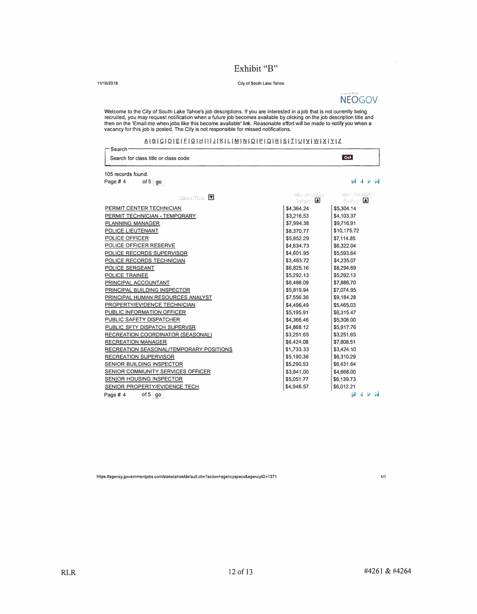**1111612016 City or South Lake Tahoe** 

## NEOGOV

Welcome to the City of South Lake Tahoe's job descriptions. If you are interested in a job that is not currently being<br>recruited, you may request notification when a future job becomes available by clicking on the job desc

#### A I a IQ IQ If IE I £i I !:!I 11 J.I !SI.LIM I bl IQ IE IQ I *B.* I lil I I ill Y.. I '!Y.. I .2S. I *Y.* I Z

| -Search <sup>.</sup><br>Search for class title or class code: |                           | Gab                      |
|---------------------------------------------------------------|---------------------------|--------------------------|
| 105 records found.                                            |                           |                          |
| Page #4<br>of $5^{\circ}$ go                                  |                           | $N + \nu M$              |
| Class Title                                                   | rain ne suid-<br>Salary A | nax a cattle<br>Salery A |
| <b>PERMIT CENTER TECHNICIAN</b>                               | \$4,364,24                | \$5,304,14               |
| PERMIT TECHNICIAN - TEMPORARY                                 | \$3,216.53                | \$4,103.37               |
| PLANNING MANAGER                                              | \$7,994.38                | \$9,716.91               |
| POLICE LIEUTENANT                                             | \$8,370.77                | \$10,175.72              |
| POLICE OFFICER                                                | \$5,852.29                | \$7,114.85               |
| POLICE OFFICER RESERVE                                        | \$4,634.73                | \$6,322.04               |
| POLICE RECORDS SUPERVISOR                                     | \$4,601.95                | \$5,593,64               |
| POLICE RECORDS TECHNICIAN                                     | \$3,483.72                | \$4,235.07               |
| POLICE SERGEANT                                               | \$6,825.16                | \$8,294.69               |
| POLICE TRAINEE                                                | \$5,292.13                | \$5,292.13               |
| PRINCIPAL ACCOUNTANT                                          | \$6,488.09                | \$7,886.70               |
| PRINCIPAL BUILDING INSPECTOR                                  | \$5,819.94                | \$7,074.95               |
| PRINCIPAL HUMAN RESOURCES ANALYST                             | \$7,556.36                | \$9,184.28               |
| PROPERTY/EVIDENCE TECHNICIAN                                  | \$4,496.49                | \$5,465.03               |
| PUBLIC INFORMATION OFFICER                                    | \$5,195,91                | \$6,315.47               |
| PUBLIC SAFETY DISPATCHER                                      | \$4,366.46                | \$5,308.00               |
| PUBLIC SFTY DISPATCH SUPERVSR                                 | \$4,868.12                | \$5,917.76               |
| RECREATION COORDINATOR (SEASONAL)                             | \$3,251.65                | \$3,251.65               |
| <b>RECREATION MANAGER</b>                                     | \$6,424.08                | \$7,808.51               |
| RECREATION SEASONAL/TEMPORARY POSITIONS                       | \$1,733.33                | \$3,424.10               |
| <b>RECREATION SUPERVISOR</b>                                  | \$5,190.36                | \$6,310.29               |
| SENIOR BUILDING INSPECTOR                                     | \$5,290.53                | \$6,431.64               |
| SENIOR COMMUNITY SERVICES OFFICER                             | \$3,841.00                | \$4,668,00               |
| SENIOR HOUSING INSPECTOR                                      | \$5,051.77                | \$6,139.73               |
| SENIOR PROPERTY/EVIDENCE TECH                                 | \$4,946.57                | \$6,012.21               |
| of 5.90<br>Page #4                                            |                           | $N \vee N$               |

**https://agency.governmentjobs.com/slaketahoe/default.cfm?action=agencyspecs&agencylD=1371** 

**111**